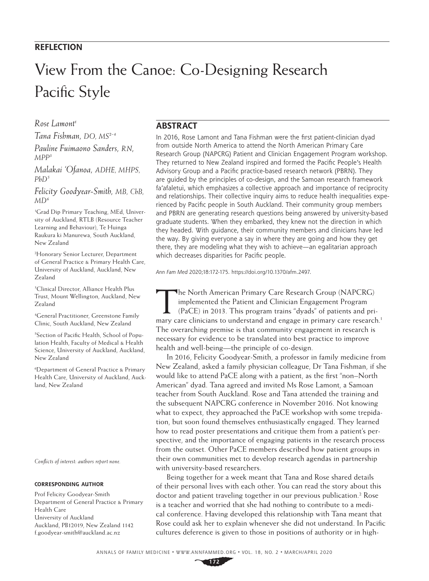## **REFLECTION**

# View From the Canoe: Co-Designing Research Pacific Style

*Rose Lamont1*

*Tana Fishman, DO, MS2-4 Pauline Fuimaono Sanders, RN, MPP3*

*Malakai 'Ofanoa, ADHE, MHPS, PhD5*

*Felicity Goodyear-Smith, MB, ChB, MD<sup>6</sup>*

1 Grad Dip Primary Teaching, MEd, University of Auckland, RTLB (Resource Teacher Learning and Behaviour), Te Huinga Raukura ki Manurewa, South Auckland, New Zealand

2 Honorary Senior Lecturer, Department of General Practice & Primary Health Care, University of Auckland, Auckland, New Zealand

3 Clinical Director, Alliance Health Plus Trust, Mount Wellington, Auckland, New Zealand

4 General Practitioner, Greenstone Family Clinic, South Auckland, New Zealand

5 Section of Pacific Health, School of Population Health, Faculty of Medical & Health Science, University of Auckland, Auckland, New Zealand

6 Department of General Practice & Primary Health Care, University of Auckland, Auckland, New Zealand

*Conflicts of interest: authors report none.*

### **CORRESPONDING AUTHOR**

Prof Felicity Goodyear-Smith Department of General Practice & Primary Health Care University of Auckland Auckland, PB12019, New Zealand 1142 [f.goodyear-smith@auckland.ac.nz](mailto:f.goodyear-smith@auckland.ac.nz)

## **ABSTRACT**

In 2016, Rose Lamont and Tana Fishman were the first patient-clinician dyad from outside North America to attend the North American Primary Care Research Group (NAPCRG) Patient and Clinician Engagement Program workshop. They returned to New Zealand inspired and formed the Pacific People's Health Advisory Group and a Pacific practice-based research network (PBRN). They are guided by the principles of co-design, and the Samoan research framework fa'afaletui, which emphasizes a collective approach and importance of reciprocity and relationships. Their collective inquiry aims to reduce health inequalities experienced by Pacific people in South Auckland. Their community group members and PBRN are generating research questions being answered by university-based graduate students. When they embarked, they knew not the direction in which they headed. With guidance, their community members and clinicians have led the way. By giving everyone a say in where they are going and how they get there, they are modeling what they wish to achieve—an egalitarian approach which decreases disparities for Pacific people.

*Ann Fam Med* 2020;18:172-175.<https://doi.org/10.1370/afm.2497>.

The North American Primary Care Research Group (NAPCRG) implemented the Patient and Clinician Engagement Program (PaCE) in 2013. This program trains "dyads" of patients and primary care clinicians to understand and engage in primary care research.<sup>1</sup> The overarching premise is that community engagement in research is necessary for evidence to be translated into best practice to improve health and well-being—the principle of co-design.

In 2016, Felicity Goodyear-Smith, a professor in family medicine from New Zealand, asked a family physician colleague, Dr Tana Fishman, if she would like to attend PaCE along with a patient, as the first "non–North American" dyad. Tana agreed and invited Ms Rose Lamont, a Samoan teacher from South Auckland. Rose and Tana attended the training and the subsequent NAPCRG conference in November 2016. Not knowing what to expect, they approached the PaCE workshop with some trepidation, but soon found themselves enthusiastically engaged. They learned how to read poster presentations and critique them from a patient's perspective, and the importance of engaging patients in the research process from the outset. Other PaCE members described how patient groups in their own communities met to develop research agendas in partnership with university-based researchers.

Being together for a week meant that Tana and Rose shared details of their personal lives with each other. You can read the story about this doctor and patient traveling together in our previous publication.<sup>2</sup> Rose is a teacher and worried that she had nothing to contribute to a medical conference. Having developed this relationship with Tana meant that Rose could ask her to explain whenever she did not understand. In Pacific cultures deference is given to those in positions of authority or in high-

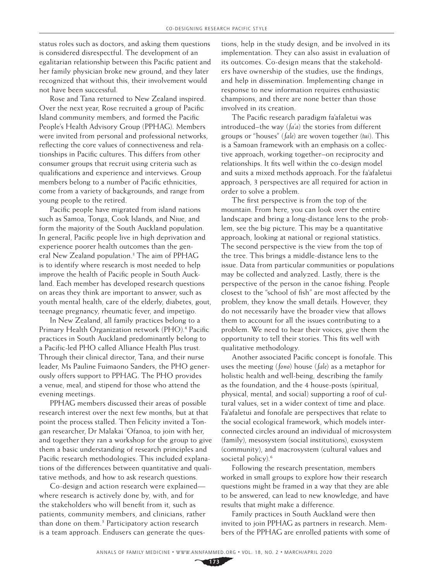status roles such as doctors, and asking them questions is considered disrespectful. The development of an egalitarian relationship between this Pacific patient and her family physician broke new ground, and they later recognized that without this, their involvement would not have been successful.

Rose and Tana returned to New Zealand inspired. Over the next year, Rose recruited a group of Pacific Island community members, and formed the Pacific People's Health Advisory Group (PPHAG). Members were invited from personal and professional networks, reflecting the core values of connectiveness and relationships in Pacific cultures. This differs from other consumer groups that recruit using criteria such as qualifications and experience and interviews. Group members belong to a number of Pacific ethnicities, come from a variety of backgrounds, and range from young people to the retired.

Pacific people have migrated from island nations such as Samoa, Tonga, Cook Islands, and Niue, and form the majority of the South Auckland population. In general, Pacific people live in high deprivation and experience poorer health outcomes than the general New Zealand population.<sup>3</sup> The aim of PPHAG is to identify where research is most needed to help improve the health of Pacific people in South Auckland. Each member has developed research questions on areas they think are important to answer, such as youth mental health, care of the elderly, diabetes, gout, teenage pregnancy, rheumatic fever, and impetigo.

In New Zealand, all family practices belong to a Primary Health Organization network (PHO).<sup>4</sup> Pacific practices in South Auckland predominantly belong to a Pacific-led PHO called Alliance Health Plus trust. Through their clinical director, Tana, and their nurse leader, Ms Pauline Fuimaono Sanders, the PHO generously offers support to PPHAG. The PHO provides a venue, meal, and stipend for those who attend the evening meetings.

PPHAG members discussed their areas of possible research interest over the next few months, but at that point the process stalled. Then Felicity invited a Tongan researcher, Dr Malakai 'Ofanoa, to join with her, and together they ran a workshop for the group to give them a basic understanding of research principles and Pacific research methodologies. This included explanations of the differences between quantitative and qualitative methods, and how to ask research questions.

Co-design and action research were explained where research is actively done by, with, and for the stakeholders who will benefit from it, such as patients, community members, and clinicians, rather than done on them.<sup>5</sup> Participatory action research is a team approach. Endusers can generate the questions, help in the study design, and be involved in its implementation. They can also assist in evaluation of its outcomes. Co-design means that the stakeholders have ownership of the studies, use the findings, and help in dissemination. Implementing change in response to new information requires enthusiastic champions, and there are none better than those involved in its creation.

The Pacific research paradigm fa'afaletui was introduced–the way (*fa'a*) the stories from different groups or "houses" (*fale*) are woven together (*tui*). This is a Samoan framework with an emphasis on a collective approach, working together–on reciprocity and relationships. It fits well within the co-design model and suits a mixed methods approach. For the fa'afaletui approach, 3 perspectives are all required for action in order to solve a problem.

The first perspective is from the top of the mountain. From here, you can look over the entire landscape and bring a long-distance lens to the problem, see the big picture. This may be a quantitative approach, looking at national or regional statistics. The second perspective is the view from the top of the tree. This brings a middle-distance lens to the issue. Data from particular communities or populations may be collected and analyzed. Lastly, there is the perspective of the person in the canoe fishing. People closest to the "school of fish" are most affected by the problem, they know the small details. However, they do not necessarily have the broader view that allows them to account for all the issues contributing to a problem. We need to hear their voices, give them the opportunity to tell their stories. This fits well with qualitative methodology.

Another associated Pacific concept is fonofale. This uses the meeting (*fono*) house (*fale*) as a metaphor for holistic health and well-being, describing the family as the foundation, and the 4 house-posts (spiritual, physical, mental, and social) supporting a roof of cultural values, set in a wider context of time and place. Fa'afaletui and fonofale are perspectives that relate to the social ecological framework, which models interconnected circles around an individual of microsystem (family), mesosystem (social institutions), exosystem (community), and macrosystem (cultural values and societal policy).<sup>6</sup>

Following the research presentation, members worked in small groups to explore how their research questions might be framed in a way that they are able to be answered, can lead to new knowledge, and have results that might make a difference.

Family practices in South Auckland were then invited to join PPHAG as partners in research. Members of the PPHAG are enrolled patients with some of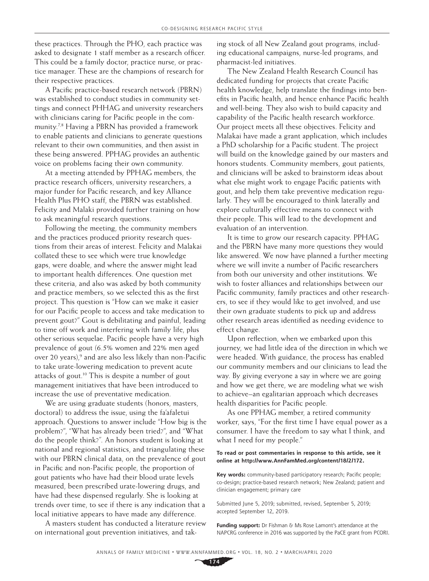these practices. Through the PHO, each practice was asked to designate 1 staff member as a research officer. This could be a family doctor, practice nurse, or practice manager. These are the champions of research for their respective practices.

A Pacific practice-based research network (PBRN) was established to conduct studies in community settings and connect PHHAG and university researchers with clinicians caring for Pacific people in the community.7,8 Having a PBRN has provided a framework to enable patients and clinicians to generate questions relevant to their own communities, and then assist in these being answered. PPHAG provides an authentic voice on problems facing their own community.

At a meeting attended by PPHAG members, the practice research officers, university researchers, a major funder for Pacific research, and key Alliance Health Plus PHO staff, the PBRN was established. Felicity and Malaki provided further training on how to ask meaningful research questions.

Following the meeting, the community members and the practices produced priority research questions from their areas of interest. Felicity and Malakai collated these to see which were true knowledge gaps, were doable, and where the answer might lead to important health differences. One question met these criteria, and also was asked by both community and practice members, so we selected this as the first project. This question is "How can we make it easier for our Pacific people to access and take medication to prevent gout?" Gout is debilitating and painful, leading to time off work and interfering with family life, plus other serious sequelae. Pacific people have a very high prevalence of gout (6.5% women and 22% men aged over 20 years),<sup>9</sup> and are also less likely than non-Pacific to take urate-lowering medication to prevent acute attacks of gout.10 This is despite a number of gout management initiatives that have been introduced to increase the use of preventative medication.

We are using graduate students (honors, masters, doctoral) to address the issue, using the fa'afaletui approach. Questions to answer include "How big is the problem?", "What has already been tried?", and "What do the people think?*"*. An honors student is looking at national and regional statistics, and triangulating these with our PBRN clinical data, on the prevalence of gout in Pacific and non-Pacific people, the proportion of gout patients who have had their blood urate levels measured, been prescribed urate-lowering drugs, and have had these dispensed regularly. She is looking at trends over time, to see if there is any indication that a local initiative appears to have made any difference.

A masters student has conducted a literature review on international gout prevention initiatives, and taking stock of all New Zealand gout programs, including educational campaigns, nurse-led programs, and pharmacist-led initiatives.

The New Zealand Health Research Council has dedicated funding for projects that create Pacific health knowledge, help translate the findings into benefits in Pacific health, and hence enhance Pacific health and well-being. They also wish to build capacity and capability of the Pacific health research workforce. Our project meets all these objectives. Felicity and Malakai have made a grant application, which includes a PhD scholarship for a Pacific student. The project will build on the knowledge gained by our masters and honors students. Community members, gout patients, and clinicians will be asked to brainstorm ideas about what else might work to engage Pacific patients with gout, and help them take preventive medication regularly. They will be encouraged to think laterally and explore culturally effective means to connect with their people. This will lead to the development and evaluation of an intervention.

It is time to grow our research capacity. PPHAG and the PBRN have many more questions they would like answered. We now have planned a further meeting where we will invite a number of Pacific researchers from both our university and other institutions. We wish to foster alliances and relationships between our Pacific community, family practices and other researchers, to see if they would like to get involved, and use their own graduate students to pick up and address other research areas identified as needing evidence to effect change.

Upon reflection, when we embarked upon this journey, we had little idea of the direction in which we were headed. With guidance, the process has enabled our community members and our clinicians to lead the way. By giving everyone a say in where we are going and how we get there, we are modeling what we wish to achieve–an egalitarian approach which decreases health disparities for Pacific people.

As one PPHAG member, a retired community worker, says, "For the first time I have equal power as a consumer. I have the freedom to say what I think, and what I need for my people."

#### **To read or post commentaries in response to this article, see it online at [http://www.AnnFamMed.org/content/18/2/172.](http://www.AnnFamMed.org/content/18/2/172)**

**Key words:** community-based participatory research; Pacific people; co-design; practice-based research network; New Zealand; patient and clinician engagement; primary care

Submitted June 5, 2019; submitted, revised, September 5, 2019; accepted September 12, 2019.

**Funding support:** Dr Fishman & Ms Rose Lamont's attendance at the NAPCRG conference in 2016 was supported by the PaCE grant from PCORI.